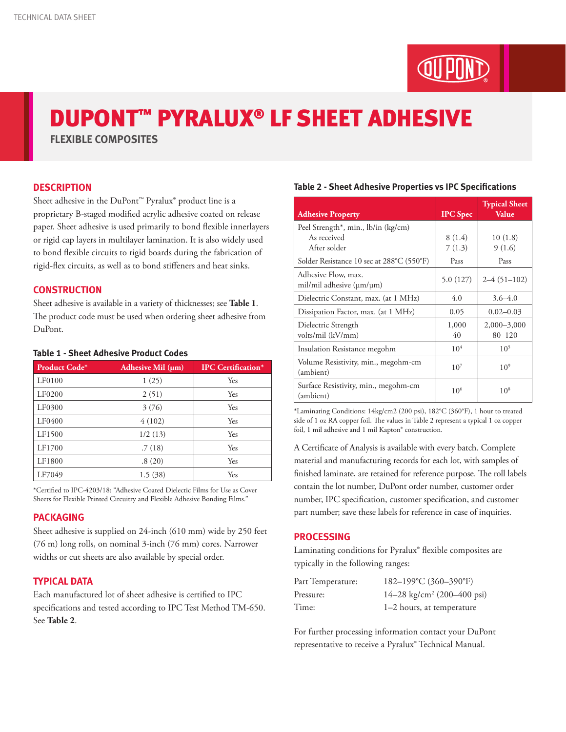# DUPONT™ PYRALUX® LF SHEET ADHESIVE

**FLEXIBLE COMPOSITES**

## **DESCRIPTION**

Sheet adhesive in the DuPont™ Pyralux® product line is a proprietary B-staged modified acrylic adhesive coated on release paper. Sheet adhesive is used primarily to bond flexible innerlayers or rigid cap layers in multilayer lamination. It is also widely used to bond flexible circuits to rigid boards during the fabrication of rigid-flex circuits, as well as to bond stiffeners and heat sinks.

## **CONSTRUCTION**

Sheet adhesive is available in a variety of thicknesses; see **Table 1**. The product code must be used when ordering sheet adhesive from DuPont.

| <b>Product Code*</b> | Adhesive Mil $(\mu m)$ | <b>IPC</b> Certification* |  |  |
|----------------------|------------------------|---------------------------|--|--|
| LF0100               | 1(25)                  | Yes                       |  |  |
| LF0200               | 2(51)                  | Yes                       |  |  |
| LF0300               | 3(76)                  | Yes                       |  |  |
| LF0400               | 4(102)                 | Yes                       |  |  |
| LF1500               | 1/2(13)                | Yes                       |  |  |
| LF1700               | .7(18)                 | Yes                       |  |  |
| LF1800               | .8(20)                 | Yes                       |  |  |
| LF7049               | 1.5(38)                | Yes                       |  |  |

#### **Table 1 - Sheet Adhesive Product Codes**

\*Certified to IPC-4203/18: "Adhesive Coated Dielectic Films for Use as Cover Sheets for Flexible Printed Circuitry and Flexible Adhesive Bonding Films."

#### **PACKAGING**

Sheet adhesive is supplied on 24-inch (610 mm) wide by 250 feet (76 m) long rolls, on nominal 3-inch (76 mm) cores. Narrower widths or cut sheets are also available by special order.

# **TYPICAL DATA**

Each manufactured lot of sheet adhesive is certified to IPC specifications and tested according to IPC Test Method TM-650. See **Table 2**.

|  |  |  | Table 2 - Sheet Adhesive Properties vs IPC Specifications |
|--|--|--|-----------------------------------------------------------|
|--|--|--|-----------------------------------------------------------|

| <b>Adhesive Property</b>                                | <b>IPC</b> Spec | <b>Typical Sheet</b><br>Value |
|---------------------------------------------------------|-----------------|-------------------------------|
| Peel Strength <sup>*</sup> , min., lb/in (kg/cm)        |                 |                               |
| As received                                             | 8(1.4)          | 10(1.8)                       |
| After solder                                            | 7(1.3)          | 9(1.6)                        |
| Solder Resistance 10 sec at 288°C (550°F)               | Pass            | Pass                          |
| Adhesive Flow, max.<br>mil/mil adhesive $(\mu m/\mu m)$ | 5.0(127)        | $2-4(51-102)$                 |
| Dielectric Constant, max. (at 1 MHz)                    | 4.0             | $3.6 - 4.0$                   |
| Dissipation Factor, max. (at 1 MHz)                     | 0.05            | $0.02 - 0.03$                 |
| Dielectric Strength                                     | 1,000           | $2,000 - 3,000$               |
| volts/mil (kV/mm)                                       | 40              | $80 - 120$                    |
| Insulation Resistance megohm                            | 10 <sup>4</sup> | 10 <sup>5</sup>               |
| Volume Resistivity, min., megohm-cm<br>(ambient)        | $10^{7}$        | 10 <sup>9</sup>               |
| Surface Resistivity, min., megohm-cm<br>(ambient)       | 10 <sup>6</sup> | $10^{8}$                      |

\*Laminating Conditions: 14kg/cm2 (200 psi), 182°C (360°F), 1 hour to treated side of 1 oz RA copper foil. The values in Table 2 represent a typical 1 oz copper foil, 1 mil adhesive and 1 mil Kapton® construction.

A Certificate of Analysis is available with every batch. Complete material and manufacturing records for each lot, with samples of finished laminate, are retained for reference purpose. The roll labels contain the lot number, DuPont order number, customer order number, IPC specification, customer specification, and customer part number; save these labels for reference in case of inquiries.

#### **PROCESSING**

Laminating conditions for Pyralux® flexible composites are typically in the following ranges:

| Part Temperature: | 182-199°C (360-390°F)                  |
|-------------------|----------------------------------------|
| Pressure:         | 14–28 kg/cm <sup>2</sup> (200–400 psi) |
| Time:             | 1–2 hours, at temperature              |

For further processing information contact your DuPont representative to receive a Pyralux® Technical Manual.